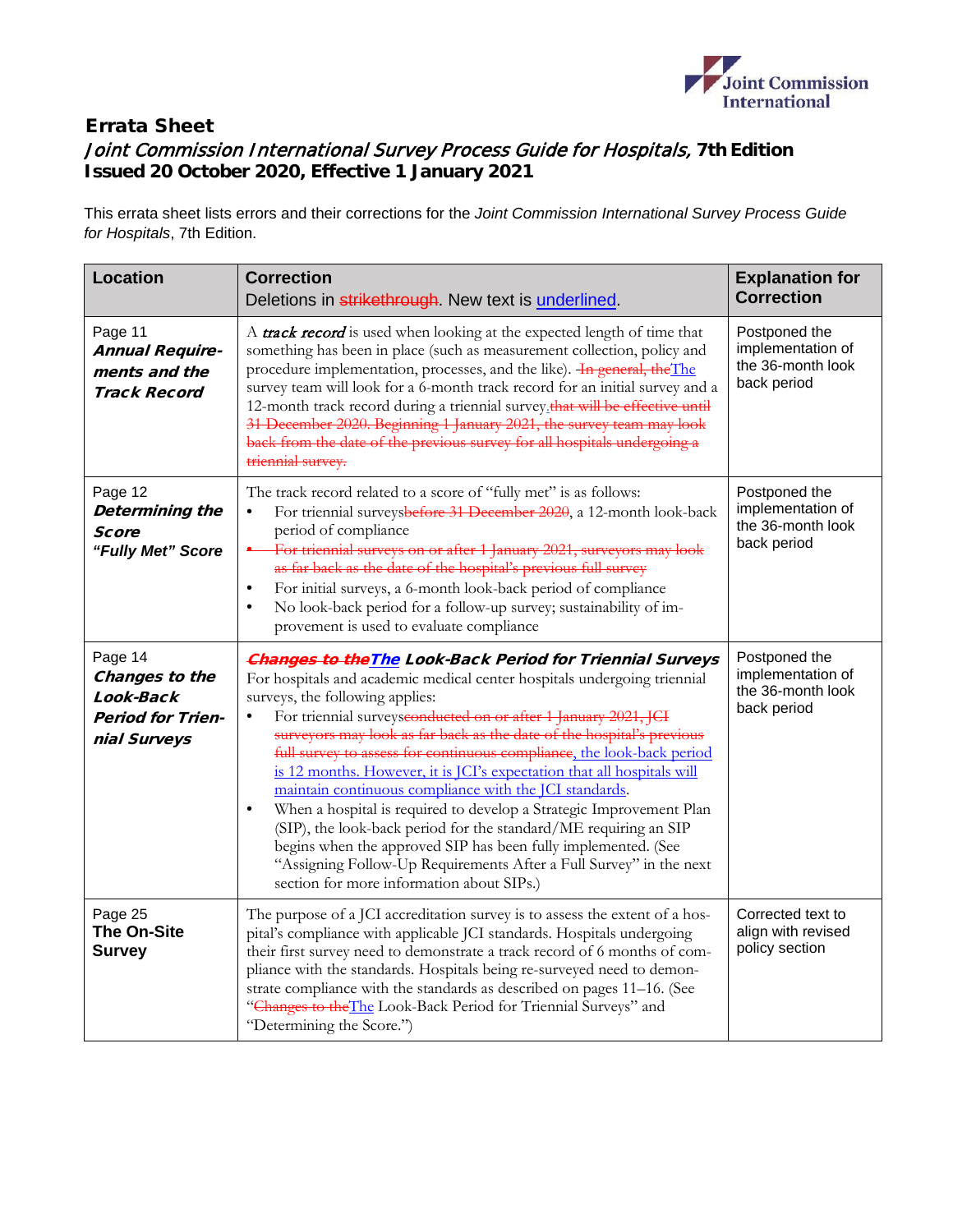

## Errata Sheet Joint Commission International Survey Process Guide for Hospitals, **7th Edition Issued 20 October 2020, Effective 1 January 2021**

This errata sheet lists errors and their corrections for the *Joint Commission International Survey Process Guide for Hospitals*, 7th Edition.

| <b>Location</b>                                                                    | <b>Correction</b><br>Deletions in strikethrough. New text is underlined.                                                                                                                                                                                                                                                                                                                                                                                                                                                                                                                                                                                                                                                                                                                                                                                                                         | <b>Explanation for</b><br><b>Correction</b>                            |
|------------------------------------------------------------------------------------|--------------------------------------------------------------------------------------------------------------------------------------------------------------------------------------------------------------------------------------------------------------------------------------------------------------------------------------------------------------------------------------------------------------------------------------------------------------------------------------------------------------------------------------------------------------------------------------------------------------------------------------------------------------------------------------------------------------------------------------------------------------------------------------------------------------------------------------------------------------------------------------------------|------------------------------------------------------------------------|
| Page 11<br><b>Annual Require-</b><br>ments and the<br><b>Track Record</b>          | A <b>track record</b> is used when looking at the expected length of time that<br>something has been in place (such as measurement collection, policy and<br>procedure implementation, processes, and the like). In general, the The<br>survey team will look for a 6-month track record for an initial survey and a<br>12-month track record during a triennial survey_that will be effective until<br>31 December 2020. Beginning 1 January 2021, the survey team may look<br>back from the date of the previous survey for all hospitals undergoing a<br>triennial survey.                                                                                                                                                                                                                                                                                                                    | Postponed the<br>implementation of<br>the 36-month look<br>back period |
| Page 12<br>Determining the<br>Score<br>"Fully Met" Score                           | The track record related to a score of "fully met" is as follows:<br>For triennial surveysbefore 31 December 2020, a 12-month look-back<br>$\bullet$<br>period of compliance<br>For triennial surveys on or after 1 January 2021, surveyors may look<br>as far back as the date of the hospital's previous full survey<br>For initial surveys, a 6-month look-back period of compliance<br>$\bullet$<br>No look-back period for a follow-up survey; sustainability of im-<br>$\bullet$<br>provement is used to evaluate compliance                                                                                                                                                                                                                                                                                                                                                               | Postponed the<br>implementation of<br>the 36-month look<br>back period |
| Page 14<br>Changes to the<br>Look-Back<br><b>Period for Trien-</b><br>nial Surveys | <b>Changes to the The Look-Back Period for Triennial Surveys</b><br>For hospitals and academic medical center hospitals undergoing triennial<br>surveys, the following applies:<br>For triennial surveysconducted on or after 1 January 2021, JCI<br>$\bullet$<br>surveyors may look as far back as the date of the hospital's previous<br>full survey to assess for continuous compliance, the look-back period<br>is 12 months. However, it is JCI's expectation that all hospitals will<br>maintain continuous compliance with the JCI standards.<br>When a hospital is required to develop a Strategic Improvement Plan<br>$\bullet$<br>(SIP), the look-back period for the standard/ME requiring an SIP<br>begins when the approved SIP has been fully implemented. (See<br>"Assigning Follow-Up Requirements After a Full Survey" in the next<br>section for more information about SIPs.) | Postponed the<br>implementation of<br>the 36-month look<br>back period |
| Page 25<br><b>The On-Site</b><br><b>Survey</b>                                     | The purpose of a JCI accreditation survey is to assess the extent of a hos-<br>pital's compliance with applicable JCI standards. Hospitals undergoing<br>their first survey need to demonstrate a track record of 6 months of com-<br>pliance with the standards. Hospitals being re-surveyed need to demon-<br>strate compliance with the standards as described on pages 11-16. (See<br>"Changes to the The Look-Back Period for Triennial Surveys" and<br>"Determining the Score.")                                                                                                                                                                                                                                                                                                                                                                                                           | Corrected text to<br>align with revised<br>policy section              |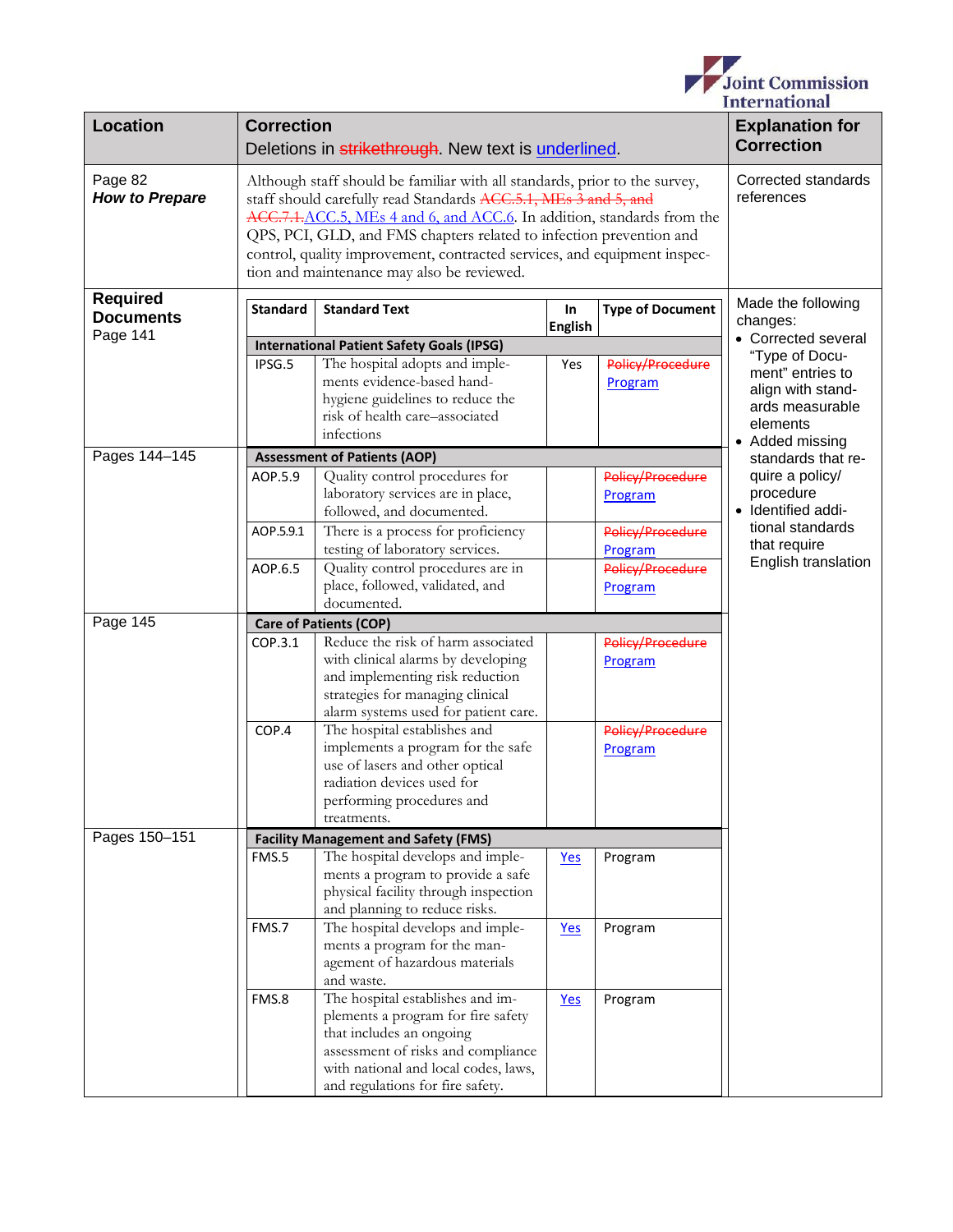

| <b>Location</b>                     | <b>Correction</b><br>Deletions in strikethrough. New text is underlined.                                                                                                                                                                                                                                                                                                                                                  |                                                                                                                                                                                                                        |                      |                             | <b>Explanation for</b><br><b>Correction</b>                                             |
|-------------------------------------|---------------------------------------------------------------------------------------------------------------------------------------------------------------------------------------------------------------------------------------------------------------------------------------------------------------------------------------------------------------------------------------------------------------------------|------------------------------------------------------------------------------------------------------------------------------------------------------------------------------------------------------------------------|----------------------|-----------------------------|-----------------------------------------------------------------------------------------|
| Page 82<br><b>How to Prepare</b>    | Although staff should be familiar with all standards, prior to the survey,<br>staff should carefully read Standards ACC.5.1, MEs 3 and 5, and<br>ACC.7.1, ACC.5, MEs 4 and 6, and ACC.6. In addition, standards from the<br>QPS, PCI, GLD, and FMS chapters related to infection prevention and<br>control, quality improvement, contracted services, and equipment inspec-<br>tion and maintenance may also be reviewed. | Corrected standards<br>references                                                                                                                                                                                      |                      |                             |                                                                                         |
| <b>Required</b><br><b>Documents</b> | <b>Standard</b>                                                                                                                                                                                                                                                                                                                                                                                                           | <b>Standard Text</b>                                                                                                                                                                                                   | In<br><b>English</b> | <b>Type of Document</b>     | Made the following<br>changes:                                                          |
| Page 141                            |                                                                                                                                                                                                                                                                                                                                                                                                                           |                                                                                                                                                                                                                        |                      |                             | • Corrected several                                                                     |
|                                     |                                                                                                                                                                                                                                                                                                                                                                                                                           | <b>International Patient Safety Goals (IPSG)</b>                                                                                                                                                                       |                      |                             | "Type of Docu-                                                                          |
|                                     | IPSG.5                                                                                                                                                                                                                                                                                                                                                                                                                    | The hospital adopts and imple-<br>ments evidence-based hand-<br>hygiene guidelines to reduce the<br>risk of health care-associated<br>infections                                                                       | Yes                  | Policy/Procedure<br>Program | ment" entries to<br>align with stand-<br>ards measurable<br>elements<br>• Added missing |
| Pages 144-145                       |                                                                                                                                                                                                                                                                                                                                                                                                                           | <b>Assessment of Patients (AOP)</b>                                                                                                                                                                                    |                      |                             |                                                                                         |
|                                     | AOP.5.9                                                                                                                                                                                                                                                                                                                                                                                                                   | Quality control procedures for<br>laboratory services are in place,<br>followed, and documented.                                                                                                                       |                      | Policy/Procedure<br>Program | standards that re-<br>quire a policy/<br>procedure<br>· Identified addi-                |
|                                     | AOP.5.9.1                                                                                                                                                                                                                                                                                                                                                                                                                 | There is a process for proficiency<br>testing of laboratory services.                                                                                                                                                  |                      | Policy/Procedure<br>Program | tional standards<br>that require                                                        |
|                                     | AOP.6.5                                                                                                                                                                                                                                                                                                                                                                                                                   | Quality control procedures are in<br>place, followed, validated, and<br>documented.                                                                                                                                    |                      | Policy/Procedure<br>Program | English translation                                                                     |
|                                     |                                                                                                                                                                                                                                                                                                                                                                                                                           | <b>Care of Patients (COP)</b>                                                                                                                                                                                          |                      |                             |                                                                                         |
| Page 145                            | COP.3.1                                                                                                                                                                                                                                                                                                                                                                                                                   | Reduce the risk of harm associated<br>with clinical alarms by developing<br>and implementing risk reduction<br>strategies for managing clinical                                                                        |                      | Policy/Procedure<br>Program |                                                                                         |
|                                     | COP.4                                                                                                                                                                                                                                                                                                                                                                                                                     | alarm systems used for patient care.<br>The hospital establishes and<br>implements a program for the safe<br>use of lasers and other optical<br>radiation devices used for<br>performing procedures and<br>treatments. |                      | Policy/Procedure<br>Program |                                                                                         |
| Pages 150-151                       |                                                                                                                                                                                                                                                                                                                                                                                                                           |                                                                                                                                                                                                                        |                      |                             |                                                                                         |
|                                     | FMS.5                                                                                                                                                                                                                                                                                                                                                                                                                     | <b>Facility Management and Safety (FMS)</b><br>The hospital develops and imple-<br>ments a program to provide a safe<br>physical facility through inspection<br>and planning to reduce risks.                          | Yes                  | Program                     |                                                                                         |
|                                     | FMS.7                                                                                                                                                                                                                                                                                                                                                                                                                     | The hospital develops and imple-<br>ments a program for the man-<br>agement of hazardous materials<br>and waste.                                                                                                       | Yes                  | Program                     |                                                                                         |
|                                     | FMS.8                                                                                                                                                                                                                                                                                                                                                                                                                     | The hospital establishes and im-<br>plements a program for fire safety<br>that includes an ongoing<br>assessment of risks and compliance<br>with national and local codes, laws,<br>and regulations for fire safety.   | Yes                  | Program                     |                                                                                         |